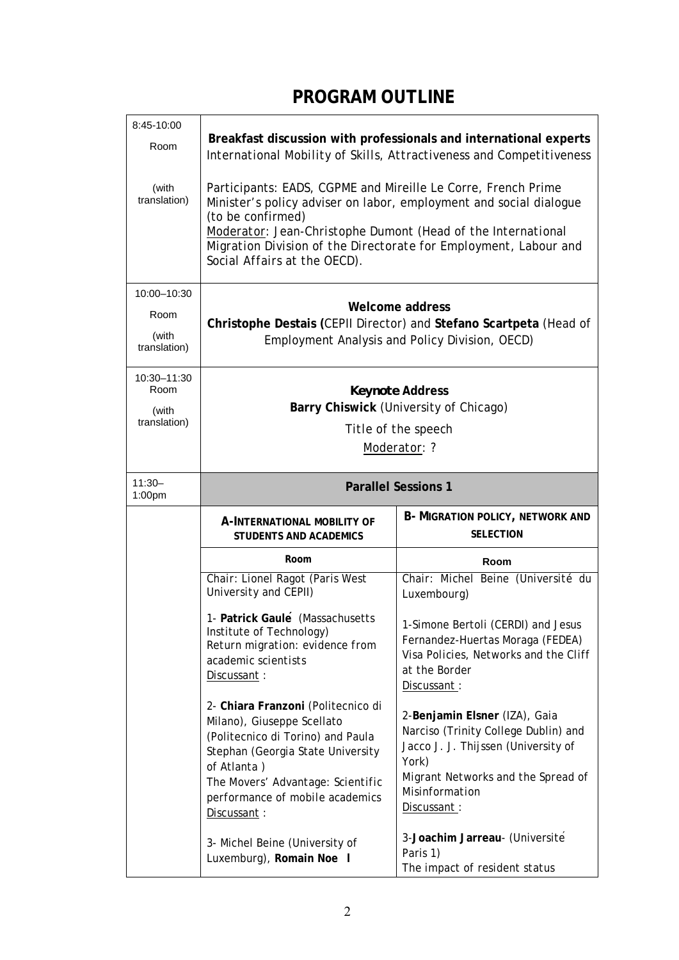## **PROGRAM OUTLINE**

| 8:45-10:00<br>Room<br>(with<br>translation)  | Breakfast discussion with professionals and international experts<br>International Mobility of Skills, Attractiveness and Competitiveness<br>Participants: EADS, CGPME and Mireille Le Corre, French Prime<br>Minister's policy adviser on labor, employment and social dialogue<br>(to be confirmed)<br>Moderator: Jean-Christophe Dumont (Head of the International<br>Migration Division of the Directorate for Employment, Labour and<br>Social Affairs at the OECD). |                                                                                                                                                                                                     |  |
|----------------------------------------------|---------------------------------------------------------------------------------------------------------------------------------------------------------------------------------------------------------------------------------------------------------------------------------------------------------------------------------------------------------------------------------------------------------------------------------------------------------------------------|-----------------------------------------------------------------------------------------------------------------------------------------------------------------------------------------------------|--|
| 10:00-10:30<br>Room<br>(with<br>translation) | Welcome address<br>Christophe Destais (CEPII Director) and Stefano Scartpeta (Head of<br>Employment Analysis and Policy Division, OECD)                                                                                                                                                                                                                                                                                                                                   |                                                                                                                                                                                                     |  |
| 10:30-11:30<br>Room<br>(with<br>translation) | <b>Keynote Address</b><br>Barry Chiswick (University of Chicago)<br>Title of the speech<br>Moderator: ?                                                                                                                                                                                                                                                                                                                                                                   |                                                                                                                                                                                                     |  |
| $11:30-$<br>1:00pm                           | <b>Parallel Sessions 1</b>                                                                                                                                                                                                                                                                                                                                                                                                                                                |                                                                                                                                                                                                     |  |
|                                              | A-INTERNATIONAL MOBILITY OF<br><b>STUDENTS AND ACADEMICS</b>                                                                                                                                                                                                                                                                                                                                                                                                              | <b>B- MIGRATION POLICY, NETWORK AND</b><br><b>SELECTION</b>                                                                                                                                         |  |
|                                              | Room                                                                                                                                                                                                                                                                                                                                                                                                                                                                      | Room                                                                                                                                                                                                |  |
|                                              | Chair: Lionel Ragot (Paris West<br>University and CEPII)                                                                                                                                                                                                                                                                                                                                                                                                                  | Chair: Michel Beine (Université du<br>Luxembourg)                                                                                                                                                   |  |
|                                              | 1- Patrick Gaule (Massachusetts<br>Institute of Technology)<br>Return migration: evidence from<br>academic scientists<br>Discussant:                                                                                                                                                                                                                                                                                                                                      | 1-Simone Bertoli (CERDI) and Jesus<br>Fernandez-Huertas Moraga (FEDEA)<br>Visa Policies, Networks and the Cliff<br>at the Border<br>Discussant:                                                     |  |
|                                              | 2- Chiara Franzoni (Politecnico di<br>Milano), Giuseppe Scellato<br>(Politecnico di Torino) and Paula<br>Stephan (Georgia State University<br>of Atlanta)<br>The Movers' Advantage: Scientific<br>performance of mobile academics<br>Discussant:                                                                                                                                                                                                                          | 2-Benjamin Elsner (IZA), Gaia<br>Narciso (Trinity College Dublin) and<br>Jacco J. J. Thijssen (University of<br>York)<br>Migrant Networks and the Spread of<br><b>Misinformation</b><br>Discussant: |  |
|                                              | 3- Michel Beine (University of<br>Luxemburg), Romain Noe I                                                                                                                                                                                                                                                                                                                                                                                                                | 3-Joachim Jarreau- (Universite<br>Paris 1)<br>The impact of resident status                                                                                                                         |  |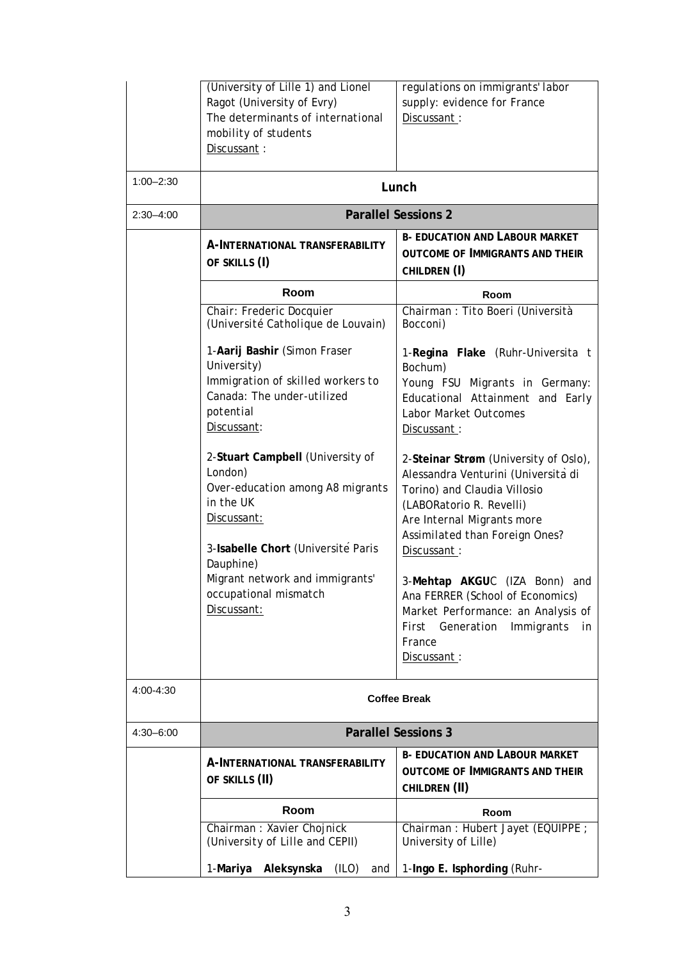|               | (University of Lille 1) and Lionel<br>Ragot (University of Evry)<br>The determinants of international<br>mobility of students<br>Discussant:                   | regulations on immigrants' labor<br>supply: evidence for France<br>Discussant:                                                                                                                                          |  |
|---------------|----------------------------------------------------------------------------------------------------------------------------------------------------------------|-------------------------------------------------------------------------------------------------------------------------------------------------------------------------------------------------------------------------|--|
| $1:00 - 2:30$ | Lunch                                                                                                                                                          |                                                                                                                                                                                                                         |  |
| $2:30 - 4:00$ | <b>Parallel Sessions 2</b>                                                                                                                                     |                                                                                                                                                                                                                         |  |
|               | A-INTERNATIONAL TRANSFERABILITY<br>OF SKILLS (I)                                                                                                               | <b>B- EDUCATION AND LABOUR MARKET</b><br><b>OUTCOME OF IMMIGRANTS AND THEIR</b><br>CHILDREN (I)                                                                                                                         |  |
|               | Room                                                                                                                                                           | Room                                                                                                                                                                                                                    |  |
|               | Chair: Frederic Docquier<br>(Université Catholique de Louvain)                                                                                                 | Chairman : Tito Boeri (Università<br>Bocconi)                                                                                                                                                                           |  |
|               | 1-Aarij Bashir (Simon Fraser<br>University)<br>Immigration of skilled workers to<br>Canada: The under-utilized<br>potential<br>Discussant:                     | 1-Regina Flake (Ruhr-Universita t<br>Bochum)<br>Young FSU Migrants in Germany:<br>Educational Attainment and Early<br>Labor Market Outcomes<br>Discussant:                                                              |  |
|               | 2-Stuart Campbell (University of<br>London)<br>Over-education among A8 migrants<br>in the UK<br>Discussant:<br>3-Isabelle Chort (Université Paris<br>Dauphine) | 2-Steinar Strøm (University of Oslo),<br>Alessandra Venturini (Università di<br>Torino) and Claudia Villosio<br>(LABORatorio R. Revelli)<br>Are Internal Migrants more<br>Assimilated than Foreign Ones?<br>Discussant: |  |
|               | Migrant network and immigrants'<br>occupational mismatch<br>Discussant:                                                                                        | 3-Mehtap AKGUC (IZA Bonn)<br>and<br>Ana FERRER (School of Economics)<br>Market Performance: an Analysis of<br>First Generation Immigrants<br>in<br>France<br>Discussant:                                                |  |
| 4:00-4:30     | <b>Coffee Break</b>                                                                                                                                            |                                                                                                                                                                                                                         |  |
| $4:30 - 6:00$ | <b>Parallel Sessions 3</b>                                                                                                                                     |                                                                                                                                                                                                                         |  |
|               | A-INTERNATIONAL TRANSFERABILITY<br>OF SKILLS (II)                                                                                                              | <b>B- EDUCATION AND LABOUR MARKET</b><br><b>OUTCOME OF IMMIGRANTS AND THEIR</b><br>CHILDREN (II)                                                                                                                        |  |
|               | Room                                                                                                                                                           | Room                                                                                                                                                                                                                    |  |
|               | Chairman : Xavier Chojnick<br>(University of Lille and CEPII)                                                                                                  | Chairman: Hubert Jayet (EQUIPPE;<br>University of Lille)                                                                                                                                                                |  |
|               | Aleksynska<br>1-Mariya<br>(ILO)<br>and                                                                                                                         | 1-Ingo E. Isphording (Ruhr-                                                                                                                                                                                             |  |